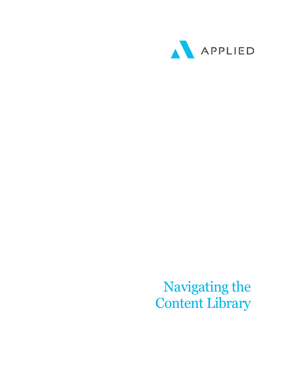

Navigating the Content Library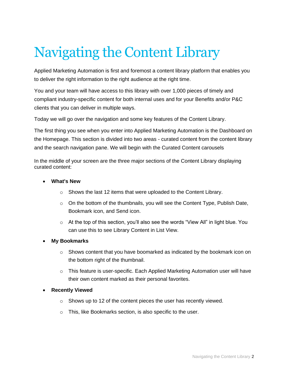# Navigating the Content Library

Applied Marketing Automation is first and foremost a content library platform that enables you to deliver the right information to the right audience at the right time.

You and your team will have access to this library with over 1,000 pieces of timely and compliant industry-specific content for both internal uses and for your Benefits and/or P&C clients that you can deliver in multiple ways.

Today we will go over the navigation and some key features of the Content Library.

The first thing you see when you enter into Applied Marketing Automation is the Dashboard on the Homepage. This section is divided into two areas - curated content from the content library and the search navigation pane. We will begin with the Curated Content carousels

In the middle of your screen are the three major sections of the Content Library displaying curated content:

- **What's New**
	- $\circ$  Shows the last 12 items that were uploaded to the Content Library.
	- $\circ$  On the bottom of the thumbnails, you will see the Content Type, Publish Date, Bookmark icon, and Send icon.
	- $\circ$  At the top of this section, you'll also see the words "View All" in light blue. You can use this to see Library Content in List View.
- **My Bookmarks**
	- $\circ$  Shows content that you have boomarked as indicated by the bookmark icon on the bottom right of the thumbnail.
	- $\circ$  This feature is user-specific. Each Applied Marketing Automation user will have their own content marked as their personal favorites.
- **Recently Viewed**
	- $\circ$  Shows up to 12 of the content pieces the user has recently viewed.
	- o This, like Bookmarks section, is also specific to the user.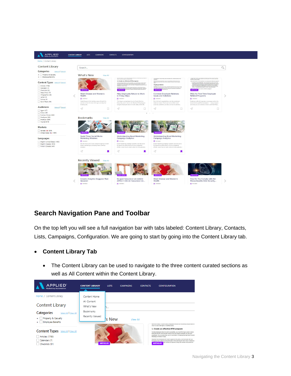

# **Search Navigation Pane and Toolbar**

On the top left you will see a full navigation bar with tabs labeled: Content Library, Contacts, Lists, Campaigns, Configuration. We are going to start by going into the Content Library tab.

### • **Content Library Tab**

The Content Library can be used to navigate to the three content curated sections as well as All Content within the Content Library.

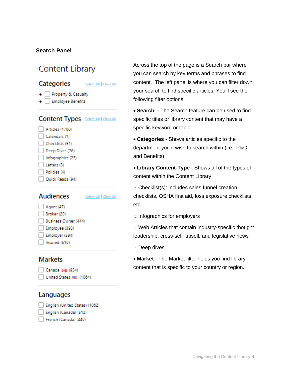## **Search Panel**

# Content Library

### Categories



- + Property & Casualty
- + Employee Benefits

# **Content Types** Select All | Clear All

- Articles (1760) Calendars (1) Checklists (51) Deep Dives (76)
- Infographics (25)
- Letters (3)
- $\Box$  Policies (4)
- Ouick Reads (94)

# **Audiences**

### Select All | Clear All

- Agent (47)
	- Broker (20) Business Owner (444)
- Employee (393)
- Employer (594)
- Insured (516)

# **Markets**

Canada I+I (954) United States [82] (1064)

## Languages

- English (United States) (1062)
- English (Canada) (512)
- French (Canada) (440)

Across the top of the page is a Search bar where you can search by key terms and phrases to find content. The left panel is where you can filter down your search to find specific articles. You'll see the following filter options:

• **Search** - The Search feature can be used to find specific titles or library content that may have a specific keyword or topic.

• **Categories** - Shows articles specific to the department you'd wish to search within (i.e., P&C and Benefits)

• **Library Content-Type** - Shows all of the types of content within the Content Library

o Checklist(s): includes sales funnel creation checklists, OSHA first aid, loss exposure checklists, etc.

o Infographics for employers

o Web Articles that contain industry-specific thought leadership, cross-sell, upsell, and legislative news

o Deep dives

• **Market** - The Market filter helps you find library content that is specific to your country or region.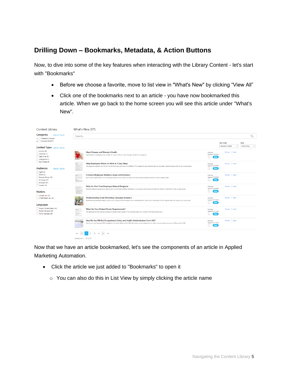# **Drilling Down – Bookmarks, Metadata, & Action Buttons**

Now, to dive into some of the key features when interacting with the Library Content - let's start with "Bookmarks"

- Before we choose a favorite, move to list view in "What's New" by clicking "View All"
- Click one of the bookmarks next to an article you have now bookmarked this article. When we go back to the home screen you will see this article under "What's New".

| <b>Content Library</b>                                                        | What's New (97)                                                                                                                                                                                                                                                                                                           |                                                    |                            |            |  |  |  |  |  |
|-------------------------------------------------------------------------------|---------------------------------------------------------------------------------------------------------------------------------------------------------------------------------------------------------------------------------------------------------------------------------------------------------------------------|----------------------------------------------------|----------------------------|------------|--|--|--|--|--|
| Categories<br>Select All   Clear All<br>+ Property & Casualty                 | Q<br>Search                                                                                                                                                                                                                                                                                                               |                                                    |                            |            |  |  |  |  |  |
| + Employee Benefits                                                           |                                                                                                                                                                                                                                                                                                                           |                                                    | Sort Order                 | View       |  |  |  |  |  |
| Content Types Select All   Clear All                                          |                                                                                                                                                                                                                                                                                                                           |                                                    | Newest to Oldest<br>$\sim$ | What's New |  |  |  |  |  |
| Articles (80)<br>Checklists (1)<br>Deep Dives (9)<br>Infographics (1)         | <b>Heart Disease and Women's Health</b><br>Heart disease is the leading cause of death for women in the U.S. Learn the signs and tips for lowering risk.                                                                                                                                                                  | <b>Articles</b><br>Undated 10/8/2020<br><b>New</b> | Preview Send               |            |  |  |  |  |  |
| Quick Reads (6)<br><b>Audiences</b><br>Select All   Clear All<br>Agent (9)    | Help Employees Return to Work in 5 Easy Steps<br>The longer an employee is out of work, the less likely they are to return. An effective RTW program can get employees back to work safely while still being mindful of your business goals.<br><b>CERTIFICATE</b>                                                        | Articles<br>Updated 10/8/2020<br><b>New</b>        | Preview Send               |            |  |  |  |  |  |
| Broker (2)<br>Business Owner (12)<br>Employee (27)<br>Employer (37)           | <b>Common Employee Relations Issues and Solutions</b><br>langua di spinore basilean la<br>Even the best organizations run into employee relations issues. Check out some of the more common problems and tips on how to address them.<br><b>Jeasternes</b><br>pronument.<br>Métaponius<br><b><i><u>SAODAGEORS</u></i></b> | Articles<br>Updated 10/8/2020<br><b>New</b>        | Preview Send               |            |  |  |  |  |  |
| Insured (10)<br><b>Markets</b>                                                | FAQs for First-Time Employee Referral Programs<br><b>USAKER</b><br>Employee referral programs encourage workers to recommend qualified candidates - using rewards and bonuses as incentives. Check out these FAQs to help you get started.<br><b>PASINE</b><br><b>BALGAROON</b>                                           | Articles<br>Updated 10/8/2020<br><b>New</b>        | Preview Send               |            |  |  |  |  |  |
| Canada I+I (57)<br>United States [140]<br>Languages                           | <b>Understanding Email Marketing Campaign Analytics</b><br>Email marketing campaign analytics can tell you a lot about the performance of your marketing efforts. Learn how to make sense of a few popular metrics to improve your success rate.                                                                          | <b>Articles</b><br>Updated 10/7/2020<br><b>New</b> | Preview Send               |            |  |  |  |  |  |
| English (United States) (40)<br>English (Canada) (30)<br>French (Canada) (27) | What Are Your Federal Poster Requirements?<br>Most ite free lasker held<br>Replicately<br>The federal government requires employers to display certain posters in the workplace. Learn how to comply with these requirements<br>$\frac{1}{K}$                                                                             | Articles<br>Updated 10/7/2020<br><b>New</b>        | Preview Send               |            |  |  |  |  |  |
|                                                                               | How Do You Fill Out Occupational Safety and Health Administration Form 300?<br><b>STANDARD CROSSOR</b><br>One of your most important OSHA obligations is correctly filling out Form 300 when there is a work-related injury or illness. Use this guide to assist you in filling out Form 300.                             | Articles<br>Updated 10/7/2020<br><b>New</b>        | Preview Send               |            |  |  |  |  |  |
|                                                                               | $\kappa$ $\kappa$ 1 2 3 4 > >><br>Distribution 4 DE LEAT                                                                                                                                                                                                                                                                  |                                                    |                            |            |  |  |  |  |  |

Now that we have an article bookmarked, let's see the components of an article in Applied Marketing Automation.

- Click the article we just added to "Bookmarks" to open it
	- o You can also do this in List View by simply clicking the article name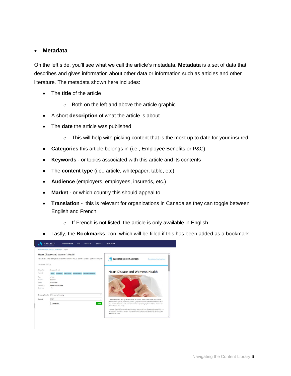#### • **Metadata**

On the left side, you'll see what we call the article's metadata. **Metadata** is a set of data that describes and gives information about other data or information such as articles and other literature. The metadata shown here includes:

- The **title** of the article
	- o Both on the left and above the article graphic
- A short **description** of what the article is about
- The **date** the article was published
	- $\circ$  This will help with picking content that is the most up to date for your insured
- **Categories** this article belongs in (i.e., Employee Benefits or P&C)
- **Keywords** or topics associated with this article and its contents
- The **content type** (i.e., article, whitepaper, table, etc)
- **Audience** (employers, employees, insureds, etc.)
- **Market** or which country this should appeal to
- **Translation** this is relevant for organizations in Canada as they can toggle between English and French.
	- o If French is not listed, the article is only available in English
- Lastly, the **Bookmarks** icon, which will be filled if this has been added as a bookmark.

|                          | Home / Content Library / What's New / Details                                                                 |                                                                                                                                                                                                                    |  |  |
|--------------------------|---------------------------------------------------------------------------------------------------------------|--------------------------------------------------------------------------------------------------------------------------------------------------------------------------------------------------------------------|--|--|
|                          | Heart Disease and Women's Health                                                                              |                                                                                                                                                                                                                    |  |  |
|                          | Heart disease is the leading cause of death for women in the U.S. Learn the signs and tips for lowering risk. | INSURANCE SOLUTION ADVISORS<br>Our Advisors, Your Solutions                                                                                                                                                        |  |  |
| Last Undated: 10/8/2020  |                                                                                                               |                                                                                                                                                                                                                    |  |  |
| Categories:              | <b>Employee Benefits</b>                                                                                      | <b>Heart Disease and Women's Health</b>                                                                                                                                                                            |  |  |
| Keywords:                | heart attack heart disease women's health cardiovascular disease<br>stroke                                    |                                                                                                                                                                                                                    |  |  |
| Type:                    | <b>Articles</b>                                                                                               |                                                                                                                                                                                                                    |  |  |
| <b>Audience:</b>         | Employee                                                                                                      |                                                                                                                                                                                                                    |  |  |
| Market                   | United States                                                                                                 |                                                                                                                                                                                                                    |  |  |
| Translations:            | <b>English (United States)</b>                                                                                |                                                                                                                                                                                                                    |  |  |
| Bookmark:                | o                                                                                                             |                                                                                                                                                                                                                    |  |  |
| <b>Branding Profile:</b> | ISA Agency Branding<br>$\sim$                                                                                 |                                                                                                                                                                                                                    |  |  |
| <b>Format:</b>           | PDF<br>$\checkmark$                                                                                           | Heart disease is the leading cause of death for women in the United States, but women                                                                                                                              |  |  |
|                          | Send<br>Download                                                                                              | often miss the signs or don't recognize the symptoms of heart disease and therefore don't<br>seek medical attention. That's because women's signs and symptoms of heart disease are<br>often different than men's. |  |  |
|                          |                                                                                                               | Understanding risk factors, taking active steps to prevent heart disease and recognizing the                                                                                                                       |  |  |
|                          |                                                                                                               | symptoms of a cardiac emergency can significantly lower women's odds of experiencing a<br>heart-related crisis.                                                                                                    |  |  |
|                          |                                                                                                               |                                                                                                                                                                                                                    |  |  |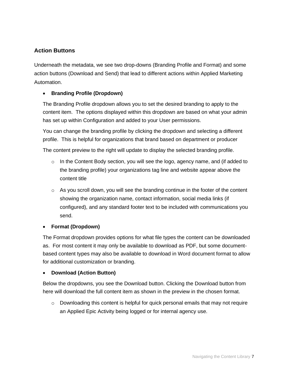# **Action Buttons**

Underneath the metadata, we see two drop-downs (Branding Profile and Format) and some action buttons (Download and Send) that lead to different actions within Applied Marketing Automation.

## • **Branding Profile (Dropdown)**

The Branding Profile dropdown allows you to set the desired branding to apply to the content item. The options displayed within this dropdown are based on what your admin has set up within Configuration and added to your User permissions.

You can change the branding profile by clicking the dropdown and selecting a different profile. This is helpful for organizations that brand based on department or producer

The content preview to the right will update to display the selected branding profile.

- o In the Content Body section, you will see the logo, agency name, and (if added to the branding profile) your organizations tag line and website appear above the content title
- $\circ$  As you scroll down, you will see the branding continue in the footer of the content showing the organization name, contact information, social media links (if configured), and any standard footer text to be included with communications you send.

#### • **Format (Dropdown)**

The Format dropdown provides options for what file types the content can be downloaded as. For most content it may only be available to download as PDF, but some documentbased content types may also be available to download in Word document format to allow for additional customization or branding.

#### • **Download (Action Button)**

Below the dropdowns, you see the Download button. Clicking the Download button from here will download the full content item as shown in the preview in the chosen format.

 $\circ$  Downloading this content is helpful for quick personal emails that may not require an Applied Epic Activity being logged or for internal agency use.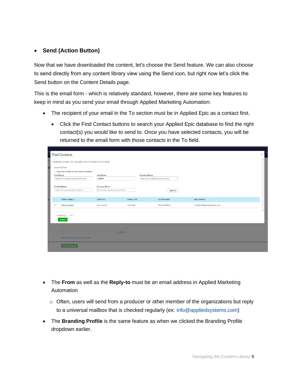## • **Send (Action Button)**

Now that we have downloaded the content, let's choose the Send feature. We can also choose to send directly from any content library view using the Send icon, but right now let's click the Send button on the Content Details page.

This is the email form - which is relatively standard, however, there are some key features to keep in mind as you send your email through Applied Marketing Automation:

- The recipient of your email in the To section must be in Applied Epic as a contact first.
	- Click the Find Contact buttons to search your Applied Epic database to find the right contact(s) you would like to send to. Once you have selected contacts, you will be returned to the email form with those contacts in the To field.

|    | <b>Find Contacts</b>                                                   |                                    |                     |                                     |                            | $\times$      |
|----|------------------------------------------------------------------------|------------------------------------|---------------------|-------------------------------------|----------------------------|---------------|
|    | Locate Epic contacts. You may select up to 10 contacts for this email. |                                    |                     |                                     |                            | $\mathbb{A}$  |
| aı | <b>Search Options</b>                                                  |                                    |                     |                                     |                            |               |
|    | Search for contacts who are internal employees                         |                                    |                     |                                     |                            |               |
|    | <b>First Name</b>                                                      | <b>Last Name</b>                   |                     | <b>Business Name</b>                |                            |               |
|    | Enter full or partial contact first name                               | melton                             |                     | Enter full or partial business name |                            |               |
|    |                                                                        |                                    |                     |                                     |                            |               |
|    | <b>Email Address</b>                                                   | <b>Account Name</b>                |                     |                                     |                            |               |
|    | Enter full or partial email address                                    | Enter full or partial account name |                     | Search                              |                            |               |
|    |                                                                        |                                    |                     |                                     |                            |               |
|    | <b>CONTACT NAME A</b>                                                  | <b>CLIENT TYPE</b>                 | <b>CONTACT TYPE</b> | <b>ACCOUNT NAME</b>                 | <b>EMAIL ADDRESS</b>       |               |
|    | Patricia Melton                                                        | Epic Insured                       | Individual          | Patricia Melton                     | mmelton@appliedsystems.com |               |
|    |                                                                        |                                    |                     |                                     |                            | $\rightarrow$ |
|    | Displaying 1 - 1 of 1                                                  |                                    |                     |                                     |                            |               |
|    | Select                                                                 |                                    |                     |                                     |                            |               |
|    |                                                                        |                                    |                     |                                     |                            |               |
|    |                                                                        |                                    |                     |                                     |                            |               |
|    | $\overline{p}$                                                         |                                    |                     |                                     |                            |               |
|    |                                                                        |                                    | 0 WORDS 3           |                                     |                            |               |
|    | Heart Disease and Women's Health                                       |                                    |                     |                                     |                            |               |
|    | <b>Preview Email</b>                                                   |                                    |                     |                                     |                            |               |
|    |                                                                        |                                    |                     |                                     |                            |               |

- The **From** as well as the **Reply-to** must be an email address in Applied Marketing Automation
	- $\circ$  Often, users will send from a producer or other member of the organizations but reply to a universal mailbox that is checked regularly (ex: [info@appliedsystems.com\)](mailto:info@appliedsystems.com)
- The **Branding Profile** is the same feature as when we clicked the Branding Profile dropdown earlier.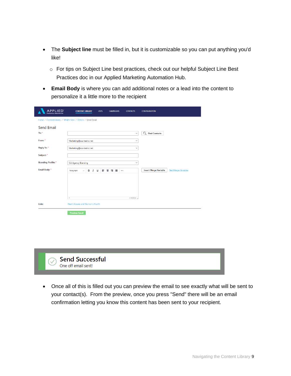- The **Subject line** must be filled in, but it is customizable so you can put anything you'd like!
	- o For tips on Subject Line best practices, check out our helpful Subject Line Best Practices doc in our Applied Marketing Automation Hub.
- **Email Body** is where you can add additional notes or a lead into the content to personalize it a little more to the recipient

| <b>APPLIED</b><br><b>Arketing Automation</b>               | <b>CONTENT LIBRARY</b>                             | <b>LISTS</b>             | <b>CAMPAIGNS</b> | <b>CONTACTS</b> | <b>CONFIGURATION</b>             |                             |
|------------------------------------------------------------|----------------------------------------------------|--------------------------|------------------|-----------------|----------------------------------|-----------------------------|
| Home / Content Library / What's New / Details / Send Email |                                                    |                          |                  |                 |                                  |                             |
| <b>Send Email</b>                                          |                                                    |                          |                  |                 |                                  |                             |
| To: $*$                                                    |                                                    |                          |                  | $\checkmark$    | $\alpha$<br><b>Find Contacts</b> |                             |
| From: *                                                    | Marketing@acs-test-ci.net                          |                          |                  | $\check{~}$     |                                  |                             |
| Reply To: *                                                | Marketing@acs-test-ci.net                          |                          |                  | $\check{~}$     |                                  |                             |
| Subject: *                                                 |                                                    |                          |                  |                 |                                  |                             |
| <b>Branding Profile:</b> *                                 | <b>ISA Agency Branding</b>                         |                          |                  | $\checkmark$    |                                  |                             |
| Email Body: *                                              | в<br>$\boldsymbol{I}$<br>Paragraph<br>$\checkmark$ | $\underline{\mathsf{u}}$ | ■ 事項 ■           |                 | <b>Insert Merge Variable</b>     | <b>Test Merge Variables</b> |
|                                                            |                                                    |                          |                  |                 |                                  |                             |
|                                                            |                                                    |                          |                  |                 |                                  |                             |
|                                                            |                                                    |                          |                  |                 |                                  |                             |
|                                                            | p                                                  |                          |                  | 0 WORDS 3       |                                  |                             |
| Link:                                                      | Heart Disease and Women's Health                   |                          |                  |                 |                                  |                             |
|                                                            | <b>Preview Email</b>                               |                          |                  |                 |                                  |                             |



• Once all of this is filled out you can preview the email to see exactly what will be sent to your contact(s). From the preview, once you press "Send" there will be an email confirmation letting you know this content has been sent to your recipient.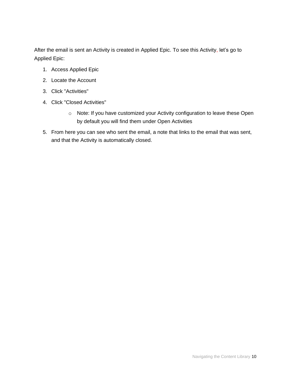After the email is sent an Activity is created in Applied Epic. To see this Activity, let's go to Applied Epic:

- 1. Access Applied Epic
- 2. Locate the Account
- 3. Click "Activities"
- 4. Click "Closed Activities"
	- o Note: If you have customized your Activity configuration to leave these Open by default you will find them under Open Activities
- 5. From here you can see who sent the email, a note that links to the email that was sent, and that the Activity is automatically closed.